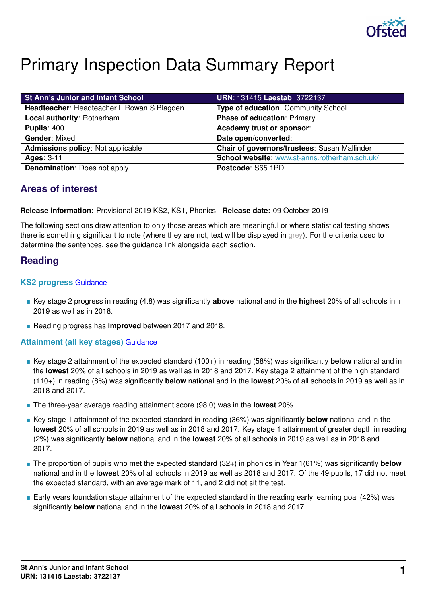

# Primary Inspection Data Summary Report

| <b>St Ann's Junior and Infant School</b>   | <b>URN: 131415 Laestab: 3722137</b>           |
|--------------------------------------------|-----------------------------------------------|
| Headteacher: Headteacher L Rowan S Blagden | Type of education: Community School           |
| Local authority: Rotherham                 | <b>Phase of education: Primary</b>            |
| <b>Pupils: 400</b>                         | Academy trust or sponsor:                     |
| <b>Gender: Mixed</b>                       | Date open/converted:                          |
| <b>Admissions policy: Not applicable</b>   | Chair of governors/trustees: Susan Mallinder  |
| <b>Ages: 3-11</b>                          | School website: www.st-anns.rotherham.sch.uk/ |
| <b>Denomination: Does not apply</b>        | Postcode: S65 1PD                             |

# **Areas of interest**

**Release information:** Provisional 2019 KS2, KS1, Phonics - **Release date:** 09 October 2019

The following sections draw attention to only those areas which are meaningful or where statistical testing shows there is something significant to note (where they are not, text will be displayed in grey). For the criteria used to determine the sentences, see the guidance link alongside each section.

# **Reading**

### **KS2 progress** [Guidance](https://www.gov.uk/guidance/school-inspection-data-summary-report-idsr-guide#key-stage-2-progress-reading-writing-and-mathematics)

- Key stage 2 progress in reading (4.8) was significantly **above** national and in the **highest** 20% of all schools in in 2019 as well as in 2018.
- Reading progress has **improved** between 2017 and 2018.

### **Attainment (all key stages)** [Guidance](https://www.gov.uk/guidance/school-inspection-data-summary-report-idsr-guide#attainment-reading-writing-and-mathematics)

- Key stage 2 attainment of the expected standard (100+) in reading (58%) was significantly **below** national and in the **lowest** 20% of all schools in 2019 as well as in 2018 and 2017. Key stage 2 attainment of the high standard (110+) in reading (8%) was significantly **below** national and in the **lowest** 20% of all schools in 2019 as well as in 2018 and 2017.
- The three-year average reading attainment score (98.0) was in the **lowest** 20%.
- Key stage 1 attainment of the expected standard in reading (36%) was significantly **below** national and in the **lowest** 20% of all schools in 2019 as well as in 2018 and 2017. Key stage 1 attainment of greater depth in reading (2%) was significantly **below** national and in the **lowest** 20% of all schools in 2019 as well as in 2018 and 2017.
- The proportion of pupils who met the expected standard (32+) in phonics in Year 1(61%) was significantly **below** national and in the **lowest** 20% of all schools in 2019 as well as 2018 and 2017. Of the 49 pupils, 17 did not meet the expected standard, with an average mark of 11, and 2 did not sit the test.
- Early years foundation stage attainment of the expected standard in the reading early learning goal (42%) was significantly **below** national and in the **lowest** 20% of all schools in 2018 and 2017.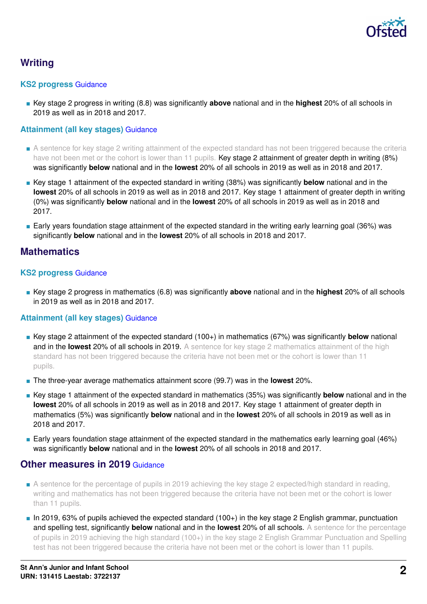

# **Writing**

### **KS2 progress** [Guidance](https://www.gov.uk/guidance/school-inspection-data-summary-report-idsr-guide#key-stage-2-progress-reading-writing-and-mathematics)

■ Key stage 2 progress in writing (8.8) was significantly **above** national and in the **highest** 20% of all schools in 2019 as well as in 2018 and 2017.

### **Attainment (all key stages)** [Guidance](https://www.gov.uk/guidance/school-inspection-data-summary-report-idsr-guide#attainment-reading-writing-and-mathematics)

- A sentence for key stage 2 writing attainment of the expected standard has not been triggered because the criteria have not been met or the cohort is lower than 11 pupils. Key stage 2 attainment of greater depth in writing (8%) was significantly **below** national and in the **lowest** 20% of all schools in 2019 as well as in 2018 and 2017.
- Key stage 1 attainment of the expected standard in writing (38%) was significantly **below** national and in the **lowest** 20% of all schools in 2019 as well as in 2018 and 2017. Key stage 1 attainment of greater depth in writing (0%) was significantly **below** national and in the **lowest** 20% of all schools in 2019 as well as in 2018 and 2017.
- Early years foundation stage attainment of the expected standard in the writing early learning goal (36%) was significantly **below** national and in the **lowest** 20% of all schools in 2018 and 2017.

# **Mathematics**

### **KS2 progress** [Guidance](https://www.gov.uk/guidance/school-inspection-data-summary-report-idsr-guide#key-stage-2-progress-reading-writing-and-mathematics)

■ Key stage 2 progress in mathematics (6.8) was significantly **above** national and in the **highest** 20% of all schools in 2019 as well as in 2018 and 2017.

### **Attainment (all key stages)** [Guidance](https://www.gov.uk/guidance/school-inspection-data-summary-report-idsr-guide#attainment-reading-writing-and-mathematics)

- Key stage 2 attainment of the expected standard (100+) in mathematics (67%) was significantly **below** national and in the **lowest** 20% of all schools in 2019. A sentence for key stage 2 mathematics attainment of the high standard has not been triggered because the criteria have not been met or the cohort is lower than 11 pupils.
- The three-year average mathematics attainment score (99.7) was in the **lowest** 20%.
- Key stage 1 attainment of the expected standard in mathematics (35%) was significantly **below** national and in the **lowest** 20% of all schools in 2019 as well as in 2018 and 2017. Key stage 1 attainment of greater depth in mathematics (5%) was significantly **below** national and in the **lowest** 20% of all schools in 2019 as well as in 2018 and 2017.
- Early years foundation stage attainment of the expected standard in the mathematics early learning goal (46%) was significantly **below** national and in the **lowest** 20% of all schools in 2018 and 2017.

### **Other measures in 2019** [Guidance](https://www.gov.uk/guidance/school-inspection-data-summary-report-idsr-guide#other-measures)

- A sentence for the percentage of pupils in 2019 achieving the key stage 2 expected/high standard in reading, writing and mathematics has not been triggered because the criteria have not been met or the cohort is lower than 11 pupils.
- In 2019, 63% of pupils achieved the expected standard (100+) in the key stage 2 English grammar, punctuation and spelling test, significantly **below** national and in the **lowest** 20% of all schools. A sentence for the percentage of pupils in 2019 achieving the high standard (100+) in the key stage 2 English Grammar Punctuation and Spelling test has not been triggered because the criteria have not been met or the cohort is lower than 11 pupils.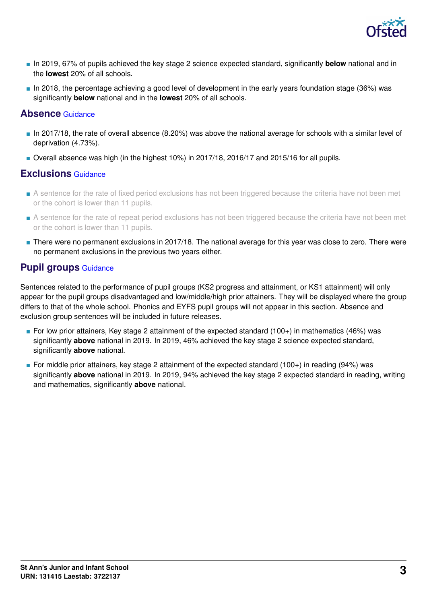

- In 2019, 67% of pupils achieved the key stage 2 science expected standard, significantly **below** national and in the **lowest** 20% of all schools.
- In 2018, the percentage achieving a good level of development in the early years foundation stage (36%) was significantly **below** national and in the **lowest** 20% of all schools.

### **Absence** [Guidance](https://www.gov.uk/guidance/school-inspection-data-summary-report-idsr-guide#absence)

- In 2017/18, the rate of overall absence (8.20%) was above the national average for schools with a similar level of deprivation (4.73%).
- Overall absence was high (in the highest 10%) in 2017/18, 2016/17 and 2015/16 for all pupils.

### **Exclusions** [Guidance](https://www.gov.uk/guidance/school-inspection-data-summary-report-idsr-guide#exclusions)

- A sentence for the rate of fixed period exclusions has not been triggered because the criteria have not been met or the cohort is lower than 11 pupils.
- A sentence for the rate of repeat period exclusions has not been triggered because the criteria have not been met or the cohort is lower than 11 pupils.
- There were no permanent exclusions in 2017/18. The national average for this year was close to zero. There were no permanent exclusions in the previous two years either.

# **Pupil groups** [Guidance](https://www.gov.uk/guidance/school-inspection-data-summary-report-idsr-guide#pupil-groups)

Sentences related to the performance of pupil groups (KS2 progress and attainment, or KS1 attainment) will only appear for the pupil groups disadvantaged and low/middle/high prior attainers. They will be displayed where the group differs to that of the whole school. Phonics and EYFS pupil groups will not appear in this section. Absence and exclusion group sentences will be included in future releases.

- For low prior attainers, Key stage 2 attainment of the expected standard (100+) in mathematics (46%) was significantly **above** national in 2019. In 2019, 46% achieved the key stage 2 science expected standard, significantly **above** national.
- For middle prior attainers, key stage 2 attainment of the expected standard (100+) in reading (94%) was significantly **above** national in 2019. In 2019, 94% achieved the key stage 2 expected standard in reading, writing and mathematics, significantly **above** national.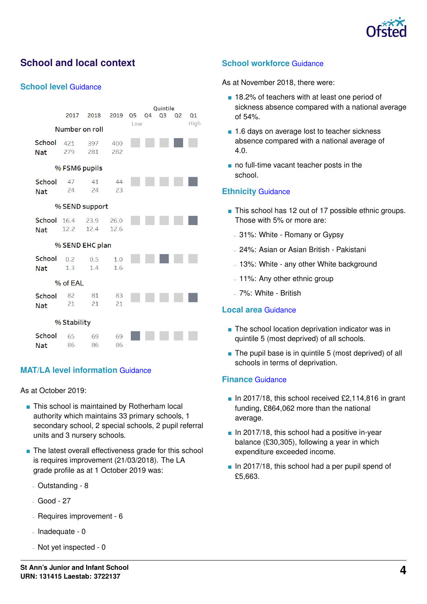

# **School and local context**

#### **School level** [Guidance](https://www.gov.uk/guidance/school-inspection-data-summary-report-idsr-guide#school-level)

|                               | 2017            | 2018         | 2019         | Q5 | Q4 | Quintile<br>Q <sub>3</sub> | Q1 |  |  |  |
|-------------------------------|-----------------|--------------|--------------|----|----|----------------------------|----|--|--|--|
| High<br>Low<br>Number on roll |                 |              |              |    |    |                            |    |  |  |  |
| School<br><b>Nat</b>          | 421<br>279      | 397<br>281   | 400<br>282   |    |    |                            |    |  |  |  |
| % FSM6 pupils                 |                 |              |              |    |    |                            |    |  |  |  |
| School<br><b>Nat</b>          | 47<br>24        | 41<br>24     | 44<br>23     |    |    |                            |    |  |  |  |
|                               | % SEND support  |              |              |    |    |                            |    |  |  |  |
| School<br><b>Nat</b>          | 16.4<br>12.2    | 23.9<br>12.4 | 26.0<br>12.6 |    |    |                            |    |  |  |  |
|                               | % SEND EHC plan |              |              |    |    |                            |    |  |  |  |
| School<br><b>Nat</b>          | 0.2<br>1.3      | 0.5<br>1.4   | 1.0<br>1.6   |    |    |                            |    |  |  |  |
|                               | % of EAL        |              |              |    |    |                            |    |  |  |  |
| School<br><b>Nat</b>          | 82<br>21        | 81<br>21     | 83<br>21     |    |    |                            |    |  |  |  |
| % Stability                   |                 |              |              |    |    |                            |    |  |  |  |
| School<br>Nat                 | 65<br>86        | 69<br>86     | 69<br>86     |    |    |                            |    |  |  |  |

### **MAT/LA level information** [Guidance](https://www.gov.uk/guidance/school-inspection-data-summary-report-idsr-guide#multi-academy)

As at October 2019:

- This school is maintained by Rotherham local authority which maintains 33 primary schools, 1 secondary school, 2 special schools, 2 pupil referral units and 3 nursery schools.
- The latest overall effectiveness grade for this school is requires improvement (21/03/2018). The LA grade profile as at 1 October 2019 was:
	- Outstanding 8
	- Good 27
	- Requires improvement 6
	- $-$  Inadequate 0
	- Not yet inspected 0

### **School workforce** [Guidance](https://www.gov.uk/guidance/school-inspection-data-summary-report-idsr-guide#school-workforce)

As at November 2018, there were:

- 18.2% of teachers with at least one period of sickness absence compared with a national average of 54%.
- 1.6 days on average lost to teacher sickness absence compared with a national average of 4.0.
- no full-time vacant teacher posts in the school.

### **Ethnicity** [Guidance](https://www.gov.uk/guidance/school-inspection-data-summary-report-idsr-guide#ethnicity)

- This school has 12 out of 17 possible ethnic groups. Those with 5% or more are:
	- 31%: White Romany or Gypsy
	- 24%: Asian or Asian British Pakistani
	- 13%: White any other White background
	- 11%: Any other ethnic group
	- 7%: White British

#### **Local area** [Guidance](https://www.gov.uk/guidance/school-inspection-data-summary-report-idsr-guide#local-area)

- The school location deprivation indicator was in quintile 5 (most deprived) of all schools.
- The pupil base is in quintile 5 (most deprived) of all schools in terms of deprivation.

#### **Finance** [Guidance](https://www.gov.uk/guidance/school-inspection-data-summary-report-idsr-guide#finance)

- $\blacksquare$  In 2017/18, this school received £2,114,816 in grant funding, £864,062 more than the national average.
- In 2017/18, this school had a positive in-year balance (£30,305), following a year in which expenditure exceeded income.
- In 2017/18, this school had a per pupil spend of £5,663.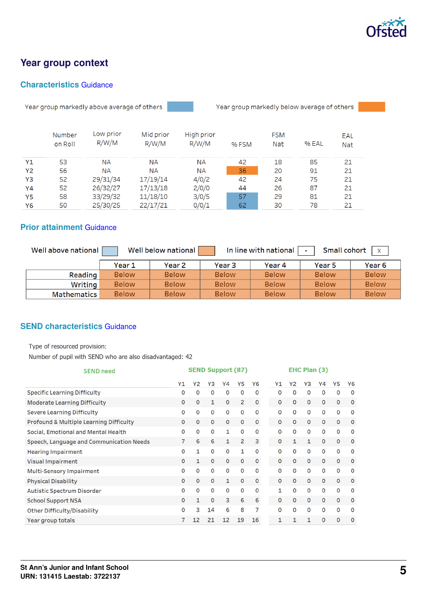

# **Year group context**

### **Characteristics** [Guidance](https://www.gov.uk/guidance/school-inspection-data-summary-report-idsr-guide#characteristics)

Year group markedly above average of others



Year group markedly below average of others

|                | Number  | Low prior | Mid prior | High prior |       | <b>FSM</b> |       | EAL        |
|----------------|---------|-----------|-----------|------------|-------|------------|-------|------------|
|                | on Roll | R/W/M     | R/W/M     | R/W/M      | % FSM | <b>Nat</b> | % EAL | <b>Nat</b> |
| Y1             | 53      | <b>NA</b> | <b>NA</b> | <b>NA</b>  | 42    | 18         | 85    | 21         |
| <b>Y2</b>      | 56      | ΝA        | <b>NA</b> | <b>NA</b>  | 36    | 20         | 91    | 21         |
| Y <sub>3</sub> | 52      | 29/31/34  | 17/19/14  | 4/0/2      | 42    | 24         | 75    | 21         |
| Y4             | 52      | 26/32/27  | 17/13/18  | 2/0/0      | 44    | 26         | 87    | 21         |
| <b>Y5</b>      | 58      | 33/29/32  | 11/18/10  | 3/0/5      | 57    | 29         | 81    | 21         |
| Y6             | 50      | 25/30/25  | 22/17/21  | 0/0/1      | 62    | 30         | 78    | 21         |

### **Prior attainment** [Guidance](https://www.gov.uk/guidance/school-inspection-data-summary-report-idsr-guide#prior-attainment)

| Well above national | Well below national<br>In line with national<br>Small cohort<br>$\mathsf{X}$<br>$\sim$ |              |                   |              |              |                   |  |  |  |  |
|---------------------|----------------------------------------------------------------------------------------|--------------|-------------------|--------------|--------------|-------------------|--|--|--|--|
|                     | Year 1                                                                                 | Year 2       | Year <sub>3</sub> | Year 4       | Year 5       | Year <sub>6</sub> |  |  |  |  |
| Reading             | <b>Below</b>                                                                           | <b>Below</b> | <b>Below</b>      | <b>Below</b> | <b>Below</b> | <b>Below</b>      |  |  |  |  |
| Writing             | <b>Below</b>                                                                           | <b>Below</b> | <b>Below</b>      | <b>Below</b> | <b>Below</b> | <b>Below</b>      |  |  |  |  |
| <b>Mathematics</b>  | <b>Below</b>                                                                           | <b>Below</b> | <b>Below</b>      | <b>Below</b> | <b>Below</b> | <b>Below</b>      |  |  |  |  |

### **SEND characteristics** [Guidance](https://www.gov.uk/guidance/school-inspection-data-summary-report-idsr-guide#send)

Type of resourced provision:

Number of pupil with SEND who are also disadvantaged: 42

| <b>SEND need</b>                         | <b>SEND Support (87)</b> |              |              |              |              | <b>EHC Plan (3)</b> |              |              |              |             |             |             |
|------------------------------------------|--------------------------|--------------|--------------|--------------|--------------|---------------------|--------------|--------------|--------------|-------------|-------------|-------------|
|                                          | Y1                       | Y2           | Y3           | Υ4           | Y5           | Y6                  | Y1           | Υ2           | Y3           | Y4          | Y5          | Y6          |
| <b>Specific Learning Difficulty</b>      | 0                        | O            | 0            | 0            | 0            | $\Omega$            | O            | $\Omega$     | 0            | $\Omega$    | 0           | $\mathbf 0$ |
| <b>Moderate Learning Difficulty</b>      | 0                        | 0            | 1            | $\mathbf{O}$ | 2            | $\mathbf 0$         | $\mathbf 0$  | $\mathbf{0}$ | $\mathbf{0}$ | $\mathbf 0$ | 0           | $\circ$     |
| <b>Severe Learning Difficulty</b>        | 0                        | 0            | 0            | 0            | 0            | $\mathbf 0$         | 0            | 0            | $\mathbf 0$  | 0           | 0           | $\circ$     |
| Profound & Multiple Learning Difficulty  | 0                        | 0            | $\mathbf 0$  | $\mathbf{O}$ | $\mathbf 0$  | $\mathbf 0$         | $\mathbf 0$  | $\mathbf{0}$ | $\mathbf 0$  | $\Omega$    | 0           | $\circ$     |
| Social, Emotional and Mental Health      | 0                        | 0            | 0            | 1            | 0            | 0                   | 0            | 0            | $\mathbf 0$  | 0           | 0           | $\circ$     |
| Speech, Language and Communication Needs | 7                        | 6            | 6            | 1            | 2            | 3                   | $\mathbf 0$  | 1            | 1            | $\Omega$    | 0           | $\mathbf 0$ |
| <b>Hearing Impairment</b>                | O                        | $\mathbf{1}$ | $\mathbf 0$  | O            | 1            | $\Omega$            | O            | $\Omega$     | 0            | $\Omega$    | $\Omega$    | $\mathbf 0$ |
| <b>Visual Impairment</b>                 | 0                        | 1            | $\mathbf{O}$ | O            | $\mathbf{O}$ | $\circ$             | $\mathbf{O}$ | $\Omega$     | $\mathbf{O}$ | $\Omega$    | $\mathbf 0$ | $\mathbf 0$ |
| Multi-Sensory Impairment                 | 0                        | 0            | 0            | 0            | 0            | $\mathbf 0$         | 0            | $\Omega$     | 0            | $\Omega$    | O           | $\mathbf 0$ |
| <b>Physical Disability</b>               | 0                        | 0            | $\mathbf{0}$ | 1            | $\mathbf{O}$ | $\mathbf 0$         | $\Omega$     | $\mathbf{0}$ | $\mathbf{0}$ | 0           | 0           | $\mathbf 0$ |
| Autistic Spectrum Disorder               | 0                        | 0            | $\mathbf 0$  | $\mathbf 0$  | $\mathbf 0$  | $\mathbf 0$         | 1            | $\mathbf 0$  | $\mathbf 0$  | $\mathbf 0$ | 0           | O           |
| <b>School Support NSA</b>                | 0                        | 1            | $\mathbf 0$  | 3            | 6            | 6                   | O            | $\mathbf{0}$ | $\mathbf 0$  | 0           | 0           | $\mathbf 0$ |
| Other Difficulty/Disability              | 0                        | 3            | 14           | 6            | 8            | 7                   | $\mathbf 0$  | $\mathbf 0$  | $\mathbf 0$  | $\mathbf 0$ | 0           | O           |
| Year group totals                        | 7                        | 12           | 21           | 12           | 19           | 16                  | 1            | 1            | 1            | 0           | 0           | $\circ$     |